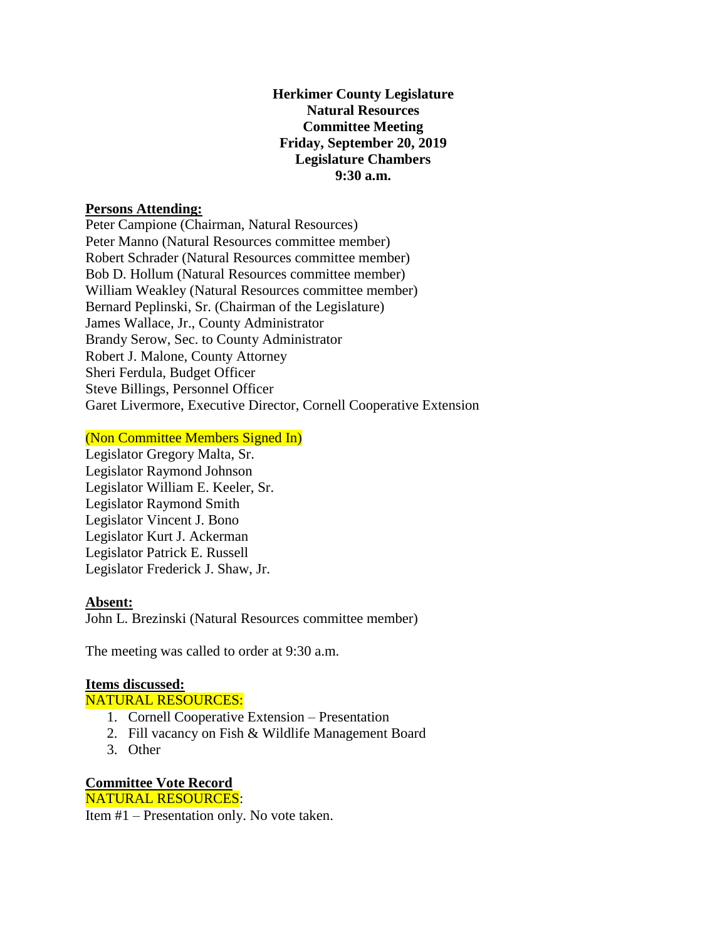# **Herkimer County Legislature Natural Resources Committee Meeting Friday, September 20, 2019 Legislature Chambers 9:30 a.m.**

### **Persons Attending:**

Peter Campione (Chairman, Natural Resources) Peter Manno (Natural Resources committee member) Robert Schrader (Natural Resources committee member) Bob D. Hollum (Natural Resources committee member) William Weakley (Natural Resources committee member) Bernard Peplinski, Sr. (Chairman of the Legislature) James Wallace, Jr., County Administrator Brandy Serow, Sec. to County Administrator Robert J. Malone, County Attorney Sheri Ferdula, Budget Officer Steve Billings, Personnel Officer Garet Livermore, Executive Director, Cornell Cooperative Extension

## (Non Committee Members Signed In)

Legislator Gregory Malta, Sr. Legislator Raymond Johnson Legislator William E. Keeler, Sr. Legislator Raymond Smith Legislator Vincent J. Bono Legislator Kurt J. Ackerman Legislator Patrick E. Russell Legislator Frederick J. Shaw, Jr.

## **Absent:**

John L. Brezinski (Natural Resources committee member)

The meeting was called to order at 9:30 a.m.

#### **Items discussed:**

NATURAL RESOURCES:

- 1. Cornell Cooperative Extension Presentation
- 2. Fill vacancy on Fish & Wildlife Management Board
- 3. Other

# **Committee Vote Record** NATURAL RESOURCES:

Item #1 – Presentation only. No vote taken.